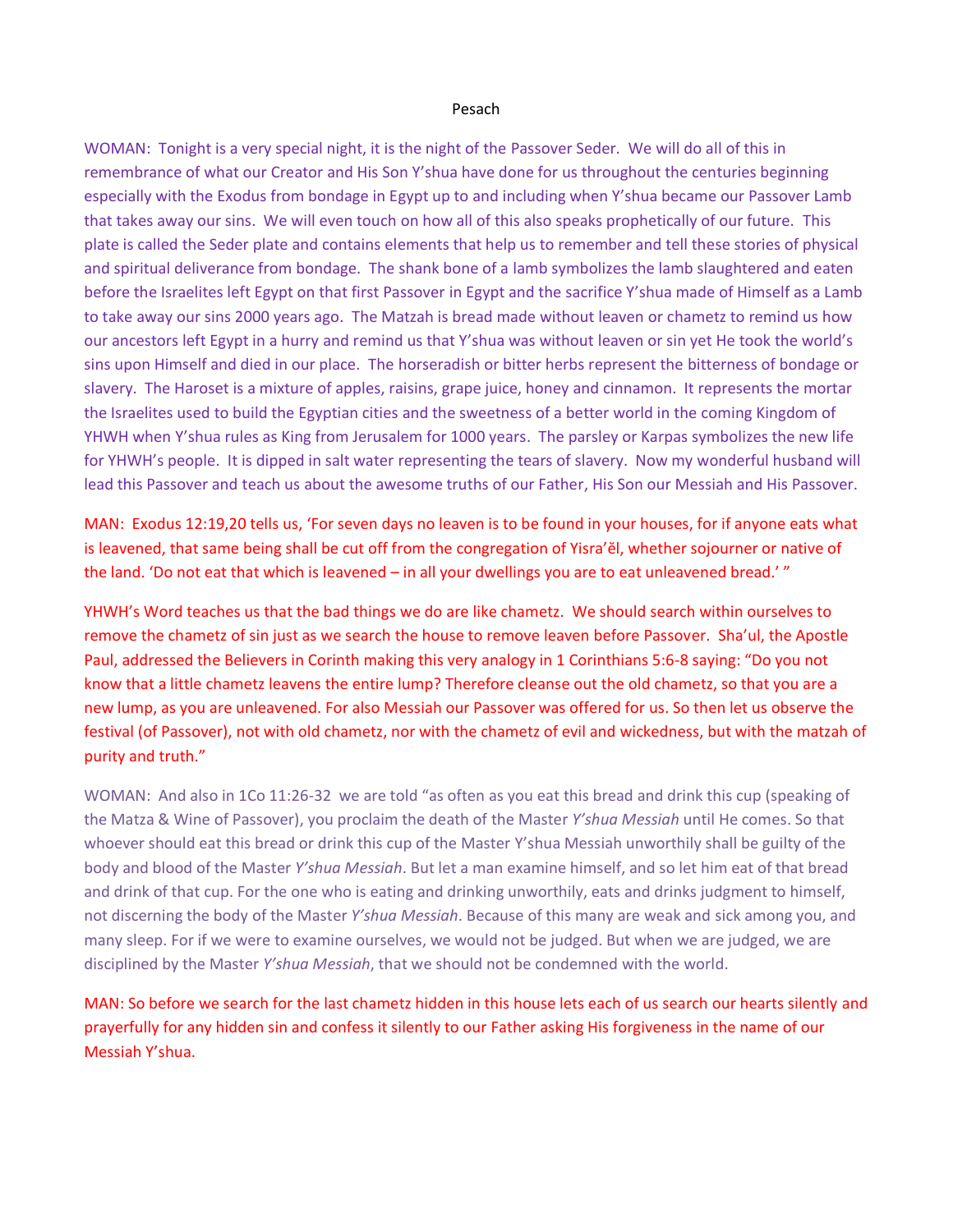#### Pesach

WOMAN: Tonight is a very special night, it is the night of the Passover Seder. We will do all of this in remembrance of what our Creator and His Son Y'shua have done for us throughout the centuries beginning especially with the Exodus from bondage in Egypt up to and including when Y'shua became our Passover Lamb that takes away our sins. We will even touch on how all of this also speaks prophetically of our future. This plate is called the Seder plate and contains elements that help us to remember and tell these stories of physical and spiritual deliverance from bondage. The shank bone of a lamb symbolizes the lamb slaughtered and eaten before the Israelites left Egypt on that first Passover in Egypt and the sacrifice Y'shua made of Himself as a Lamb to take away our sins 2000 years ago. The Matzah is bread made without leaven or chametz to remind us how our ancestors left Egypt in a hurry and remind us that Y'shua was without leaven or sin yet He took the world's sins upon Himself and died in our place. The horseradish or bitter herbs represent the bitterness of bondage or slavery. The Haroset is a mixture of apples, raisins, grape juice, honey and cinnamon. It represents the mortar the Israelites used to build the Egyptian cities and the sweetness of a better world in the coming Kingdom of YHWH when Y'shua rules as King from Jerusalem for 1000 years. The parsley or Karpas symbolizes the new life for YHWH's people. It is dipped in salt water representing the tears of slavery. Now my wonderful husband will lead this Passover and teach us about the awesome truths of our Father, His Son our Messiah and His Passover.

MAN: Exodus 12:19,20 tells us, 'For seven days no leaven is to be found in your houses, for if anyone eats what is leavened, that same being shall be cut off from the congregation of Yisra'ĕl, whether sojourner or native of the land. 'Do not eat that which is leavened – in all your dwellings you are to eat unleavened bread.' "

YHWH's Word teaches us that the bad things we do are like chametz. We should search within ourselves to remove the chametz of sin just as we search the house to remove leaven before Passover. Sha'ul, the Apostle Paul, addressed the Believers in Corinth making this very analogy in 1 Corinthians 5:6-8 saying: "Do you not know that a little chametz leavens the entire lump? Therefore cleanse out the old chametz, so that you are a new lump, as you are unleavened. For also Messiah our Passover was offered for us. So then let us observe the festival (of Passover), not with old chametz, nor with the chametz of evil and wickedness, but with the matzah of purity and truth."

WOMAN: And also in 1Co 11:26-32 we are told "as often as you eat this bread and drink this cup (speaking of the Matza & Wine of Passover), you proclaim the death of the Master *Y'shua Messiah* until He comes. So that whoever should eat this bread or drink this cup of the Master Y'shua Messiah unworthily shall be guilty of the body and blood of the Master *Y'shua Messiah*. But let a man examine himself, and so let him eat of that bread and drink of that cup. For the one who is eating and drinking unworthily, eats and drinks judgment to himself, not discerning the body of the Master *Y'shua Messiah*. Because of this many are weak and sick among you, and many sleep. For if we were to examine ourselves, we would not be judged. But when we are judged, we are disciplined by the Master *Y'shua Messiah*, that we should not be condemned with the world.

MAN: So before we search for the last chametz hidden in this house lets each of us search our hearts silently and prayerfully for any hidden sin and confess it silently to our Father asking His forgiveness in the name of our Messiah Y'shua.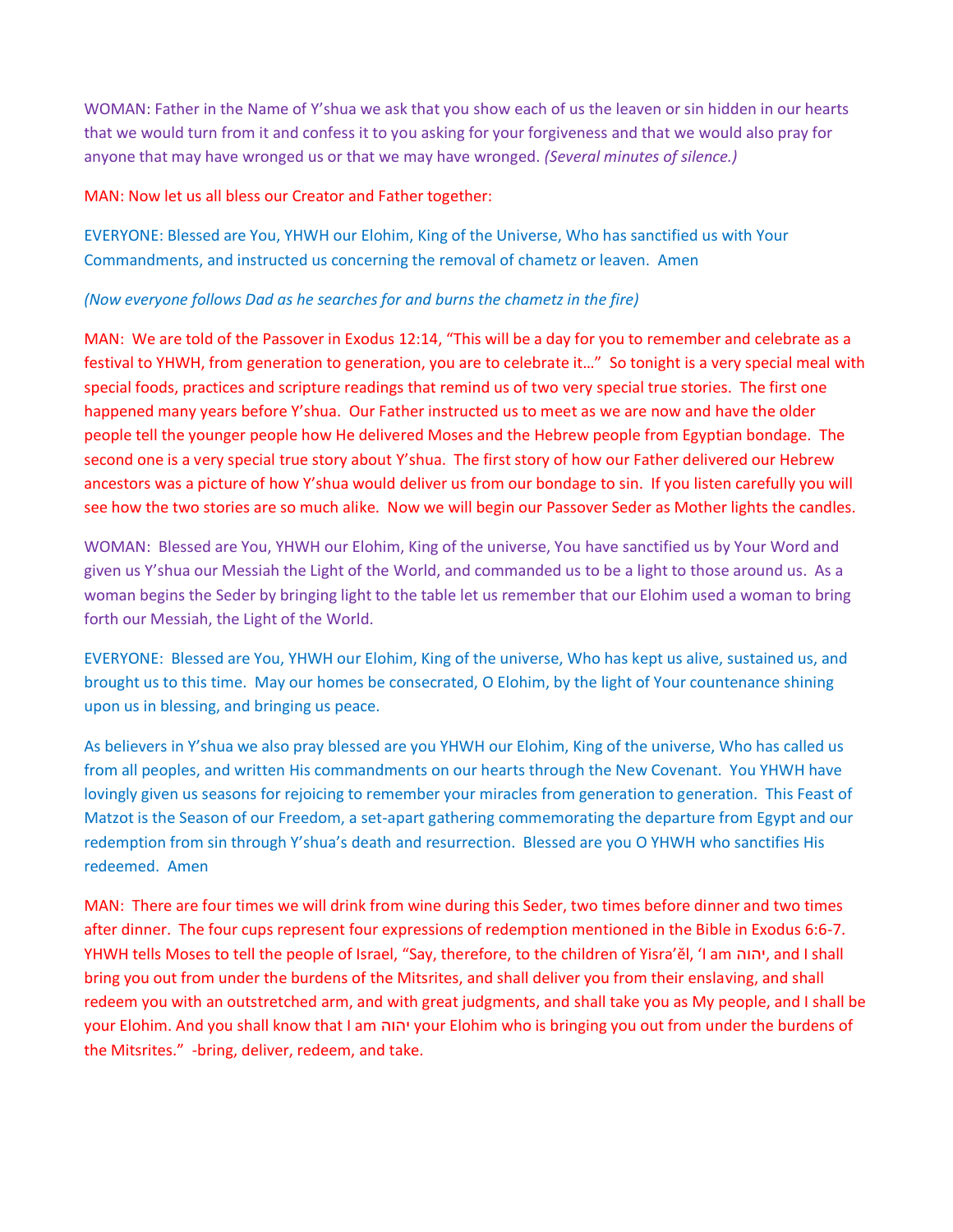WOMAN: Father in the Name of Y'shua we ask that you show each of us the leaven or sin hidden in our hearts that we would turn from it and confess it to you asking for your forgiveness and that we would also pray for anyone that may have wronged us or that we may have wronged. *(Several minutes of silence.)*

### MAN: Now let us all bless our Creator and Father together:

EVERYONE: Blessed are You, YHWH our Elohim, King of the Universe, Who has sanctified us with Your Commandments, and instructed us concerning the removal of chametz or leaven. Amen

### *(Now everyone follows Dad as he searches for and burns the chametz in the fire)*

MAN: We are told of the Passover in Exodus 12:14, "This will be a day for you to remember and celebrate as a festival to YHWH, from generation to generation, you are to celebrate it…" So tonight is a very special meal with special foods, practices and scripture readings that remind us of two very special true stories. The first one happened many years before Y'shua. Our Father instructed us to meet as we are now and have the older people tell the younger people how He delivered Moses and the Hebrew people from Egyptian bondage. The second one is a very special true story about Y'shua. The first story of how our Father delivered our Hebrew ancestors was a picture of how Y'shua would deliver us from our bondage to sin. If you listen carefully you will see how the two stories are so much alike. Now we will begin our Passover Seder as Mother lights the candles.

WOMAN: Blessed are You, YHWH our Elohim, King of the universe, You have sanctified us by Your Word and given us Y'shua our Messiah the Light of the World, and commanded us to be a light to those around us. As a woman begins the Seder by bringing light to the table let us remember that our Elohim used a woman to bring forth our Messiah, the Light of the World.

EVERYONE: Blessed are You, YHWH our Elohim, King of the universe, Who has kept us alive, sustained us, and brought us to this time. May our homes be consecrated, O Elohim, by the light of Your countenance shining upon us in blessing, and bringing us peace.

As believers in Y'shua we also pray blessed are you YHWH our Elohim, King of the universe, Who has called us from all peoples, and written His commandments on our hearts through the New Covenant. You YHWH have lovingly given us seasons for rejoicing to remember your miracles from generation to generation. This Feast of Matzot is the Season of our Freedom, a set-apart gathering commemorating the departure from Egypt and our redemption from sin through Y'shua's death and resurrection. Blessed are you O YHWH who sanctifies His redeemed. Amen

MAN: There are four times we will drink from wine during this Seder, two times before dinner and two times after dinner. The four cups represent four expressions of redemption mentioned in the Bible in Exodus 6:6-7. YHWH tells Moses to tell the people of Israel, "Say, therefore, to the children of Yisra'ĕl, 'I am יהוה, and I shall bring you out from under the burdens of the Mitsrites, and shall deliver you from their enslaving, and shall redeem you with an outstretched arm, and with great judgments, and shall take you as My people, and I shall be your Elohim. And you shall know that I am יהוה your Elohim who is bringing you out from under the burdens of the Mitsrites." -bring, deliver, redeem, and take.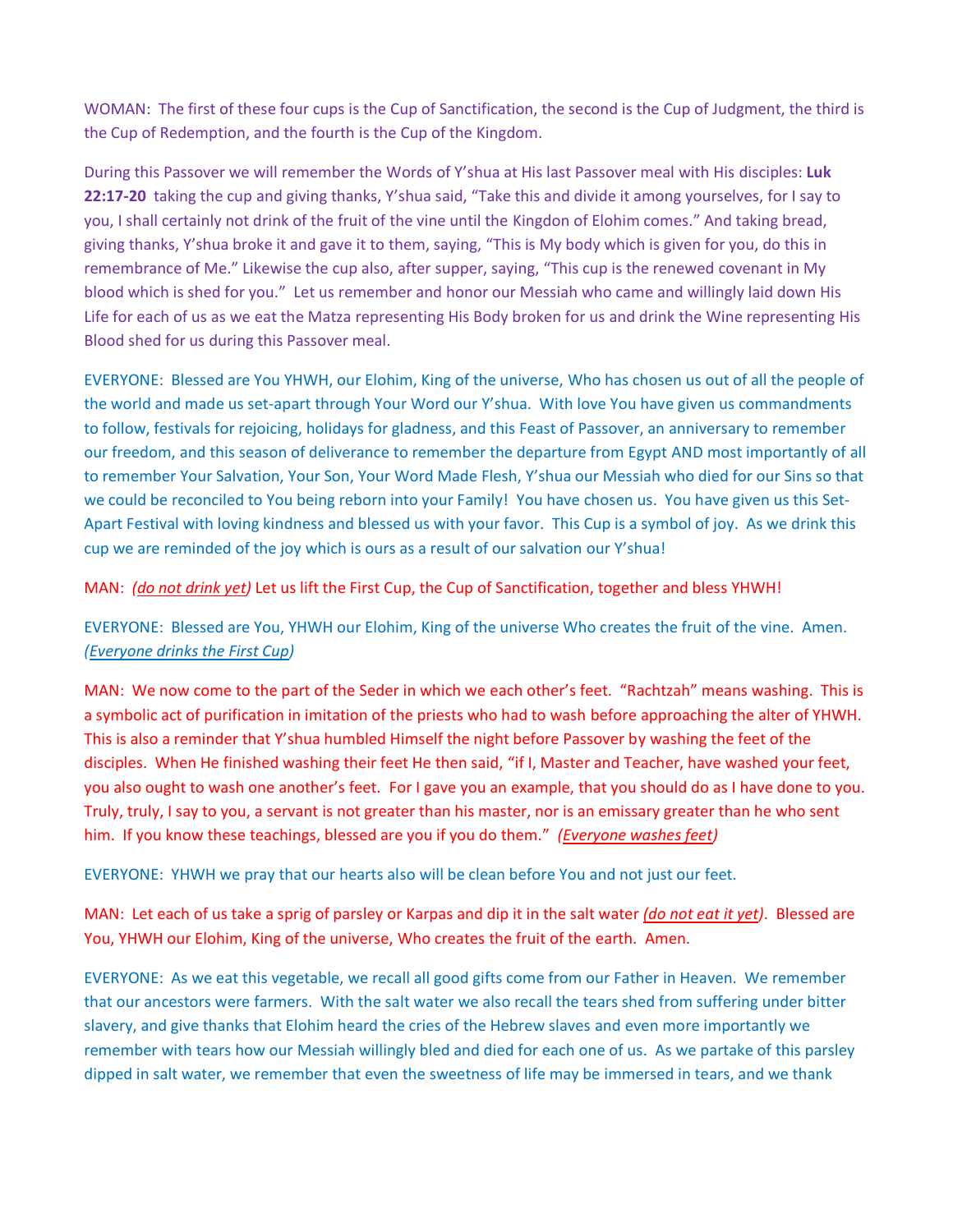WOMAN: The first of these four cups is the Cup of Sanctification, the second is the Cup of Judgment, the third is the Cup of Redemption, and the fourth is the Cup of the Kingdom.

During this Passover we will remember the Words of Y'shua at His last Passover meal with His disciples: **Luk 22:17-20** taking the cup and giving thanks, Y'shua said, "Take this and divide it among yourselves, for I say to you, I shall certainly not drink of the fruit of the vine until the Kingdon of Elohim comes." And taking bread, giving thanks, Y'shua broke it and gave it to them, saying, "This is My body which is given for you, do this in remembrance of Me." Likewise the cup also, after supper, saying, "This cup is the renewed covenant in My blood which is shed for you." Let us remember and honor our Messiah who came and willingly laid down His Life for each of us as we eat the Matza representing His Body broken for us and drink the Wine representing His Blood shed for us during this Passover meal.

EVERYONE: Blessed are You YHWH, our Elohim, King of the universe, Who has chosen us out of all the people of the world and made us set-apart through Your Word our Y'shua. With love You have given us commandments to follow, festivals for rejoicing, holidays for gladness, and this Feast of Passover, an anniversary to remember our freedom, and this season of deliverance to remember the departure from Egypt AND most importantly of all to remember Your Salvation, Your Son, Your Word Made Flesh, Y'shua our Messiah who died for our Sins so that we could be reconciled to You being reborn into your Family! You have chosen us. You have given us this Set-Apart Festival with loving kindness and blessed us with your favor. This Cup is a symbol of joy. As we drink this cup we are reminded of the joy which is ours as a result of our salvation our Y'shua!

MAN: *(do not drink yet)* Let us lift the First Cup, the Cup of Sanctification, together and bless YHWH!

EVERYONE: Blessed are You, YHWH our Elohim, King of the universe Who creates the fruit of the vine. Amen. *(Everyone drinks the First Cup)*

MAN: We now come to the part of the Seder in which we each other's feet. "Rachtzah" means washing. This is a symbolic act of purification in imitation of the priests who had to wash before approaching the alter of YHWH. This is also a reminder that Y'shua humbled Himself the night before Passover by washing the feet of the disciples. When He finished washing their feet He then said, "if I, Master and Teacher, have washed your feet, you also ought to wash one another's feet. For I gave you an example, that you should do as I have done to you. Truly, truly, I say to you, a servant is not greater than his master, nor is an emissary greater than he who sent him. If you know these teachings, blessed are you if you do them." *(Everyone washes feet)*

EVERYONE: YHWH we pray that our hearts also will be clean before You and not just our feet.

MAN: Let each of us take a sprig of parsley or Karpas and dip it in the salt water *(do not eat it yet)*. Blessed are You, YHWH our Elohim, King of the universe, Who creates the fruit of the earth. Amen.

EVERYONE: As we eat this vegetable, we recall all good gifts come from our Father in Heaven. We remember that our ancestors were farmers. With the salt water we also recall the tears shed from suffering under bitter slavery, and give thanks that Elohim heard the cries of the Hebrew slaves and even more importantly we remember with tears how our Messiah willingly bled and died for each one of us. As we partake of this parsley dipped in salt water, we remember that even the sweetness of life may be immersed in tears, and we thank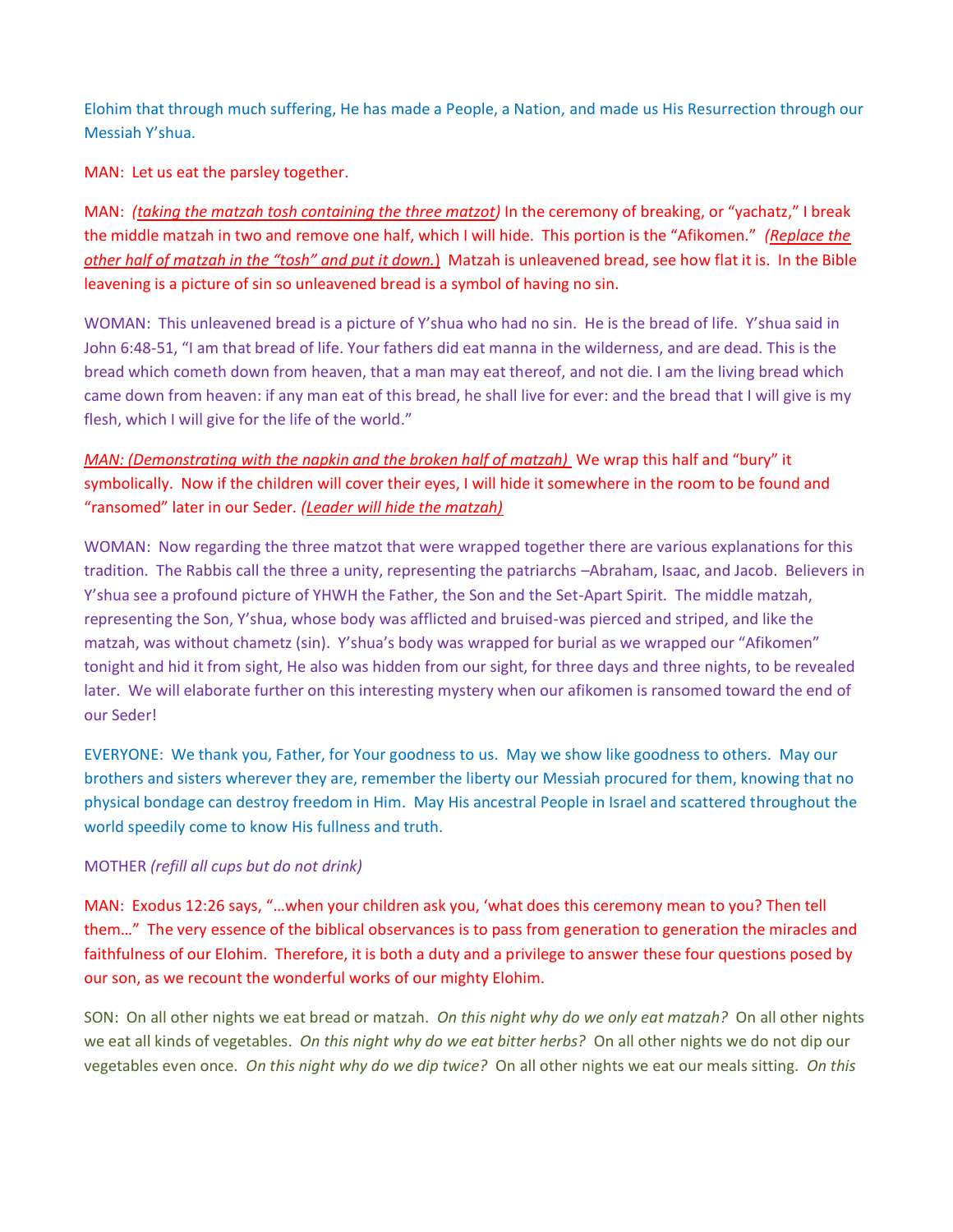Elohim that through much suffering, He has made a People, a Nation, and made us His Resurrection through our Messiah Y'shua.

MAN: Let us eat the parsley together.

MAN: *(taking the matzah tosh containing the three matzot)* In the ceremony of breaking, or "yachatz," I break the middle matzah in two and remove one half, which I will hide. This portion is the "Afikomen." *(Replace the other half of matzah in the "tosh" and put it down.*) Matzah is unleavened bread, see how flat it is. In the Bible leavening is a picture of sin so unleavened bread is a symbol of having no sin.

WOMAN: This unleavened bread is a picture of Y'shua who had no sin. He is the bread of life. Y'shua said in John 6:48-51, "I am that bread of life. Your fathers did eat manna in the wilderness, and are dead. This is the bread which cometh down from heaven, that a man may eat thereof, and not die. I am the living bread which came down from heaven: if any man eat of this bread, he shall live for ever: and the bread that I will give is my flesh, which I will give for the life of the world."

*MAN: (Demonstrating with the napkin and the broken half of matzah)* We wrap this half and "bury" it symbolically. Now if the children will cover their eyes, I will hide it somewhere in the room to be found and "ransomed" later in our Seder. *(Leader will hide the matzah)*

WOMAN: Now regarding the three matzot that were wrapped together there are various explanations for this tradition. The Rabbis call the three a unity, representing the patriarchs –Abraham, Isaac, and Jacob. Believers in Y'shua see a profound picture of YHWH the Father, the Son and the Set-Apart Spirit. The middle matzah, representing the Son, Y'shua, whose body was afflicted and bruised-was pierced and striped, and like the matzah, was without chametz (sin). Y'shua's body was wrapped for burial as we wrapped our "Afikomen" tonight and hid it from sight, He also was hidden from our sight, for three days and three nights, to be revealed later. We will elaborate further on this interesting mystery when our afikomen is ransomed toward the end of our Seder!

EVERYONE: We thank you, Father, for Your goodness to us. May we show like goodness to others. May our brothers and sisters wherever they are, remember the liberty our Messiah procured for them, knowing that no physical bondage can destroy freedom in Him. May His ancestral People in Israel and scattered throughout the world speedily come to know His fullness and truth.

# MOTHER *(refill all cups but do not drink)*

MAN: Exodus 12:26 says, "…when your children ask you, 'what does this ceremony mean to you? Then tell them…" The very essence of the biblical observances is to pass from generation to generation the miracles and faithfulness of our Elohim. Therefore, it is both a duty and a privilege to answer these four questions posed by our son, as we recount the wonderful works of our mighty Elohim.

SON: On all other nights we eat bread or matzah. *On this night why do we only eat matzah?* On all other nights we eat all kinds of vegetables. *On this night why do we eat bitter herbs?* On all other nights we do not dip our vegetables even once. *On this night why do we dip twice?* On all other nights we eat our meals sitting. *On this*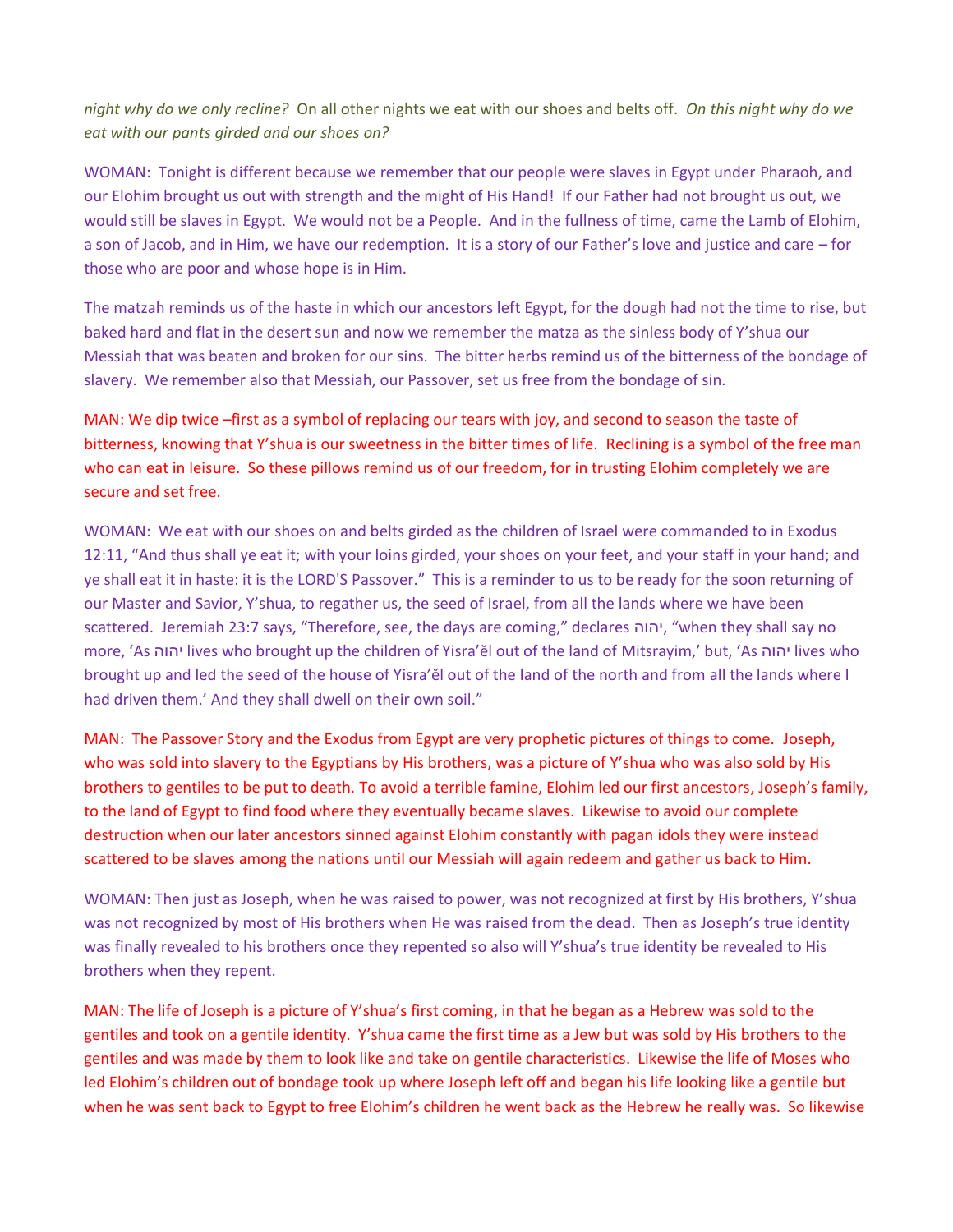*night why do we only recline?* On all other nights we eat with our shoes and belts off. *On this night why do we eat with our pants girded and our shoes on?*

WOMAN: Tonight is different because we remember that our people were slaves in Egypt under Pharaoh, and our Elohim brought us out with strength and the might of His Hand! If our Father had not brought us out, we would still be slaves in Egypt. We would not be a People. And in the fullness of time, came the Lamb of Elohim, a son of Jacob, and in Him, we have our redemption. It is a story of our Father's love and justice and care – for those who are poor and whose hope is in Him.

The matzah reminds us of the haste in which our ancestors left Egypt, for the dough had not the time to rise, but baked hard and flat in the desert sun and now we remember the matza as the sinless body of Y'shua our Messiah that was beaten and broken for our sins. The bitter herbs remind us of the bitterness of the bondage of slavery. We remember also that Messiah, our Passover, set us free from the bondage of sin.

MAN: We dip twice –first as a symbol of replacing our tears with joy, and second to season the taste of bitterness, knowing that Y'shua is our sweetness in the bitter times of life. Reclining is a symbol of the free man who can eat in leisure. So these pillows remind us of our freedom, for in trusting Elohim completely we are secure and set free.

WOMAN: We eat with our shoes on and belts girded as the children of Israel were commanded to in Exodus 12:11, "And thus shall ye eat it; with your loins girded, your shoes on your feet, and your staff in your hand; and ye shall eat it in haste: it is the LORD'S Passover." This is a reminder to us to be ready for the soon returning of our Master and Savior, Y'shua, to regather us, the seed of Israel, from all the lands where we have been scattered. Jeremiah 23:7 says, "Therefore, see, the days are coming," declares יהוה," when they shall say no more, 'As יהוה lives who brought up the children of Yisra'ĕl out of the land of Mitsrayim,' but, 'As יהוה lives who brought up and led the seed of the house of Yisra'ĕl out of the land of the north and from all the lands where I had driven them.' And they shall dwell on their own soil."

MAN: The Passover Story and the Exodus from Egypt are very prophetic pictures of things to come. Joseph, who was sold into slavery to the Egyptians by His brothers, was a picture of Y'shua who was also sold by His brothers to gentiles to be put to death. To avoid a terrible famine, Elohim led our first ancestors, Joseph's family, to the land of Egypt to find food where they eventually became slaves. Likewise to avoid our complete destruction when our later ancestors sinned against Elohim constantly with pagan idols they were instead scattered to be slaves among the nations until our Messiah will again redeem and gather us back to Him.

WOMAN: Then just as Joseph, when he was raised to power, was not recognized at first by His brothers, Y'shua was not recognized by most of His brothers when He was raised from the dead. Then as Joseph's true identity was finally revealed to his brothers once they repented so also will Y'shua's true identity be revealed to His brothers when they repent.

MAN: The life of Joseph is a picture of Y'shua's first coming, in that he began as a Hebrew was sold to the gentiles and took on a gentile identity. Y'shua came the first time as a Jew but was sold by His brothers to the gentiles and was made by them to look like and take on gentile characteristics. Likewise the life of Moses who led Elohim's children out of bondage took up where Joseph left off and began his life looking like a gentile but when he was sent back to Egypt to free Elohim's children he went back as the Hebrew he really was. So likewise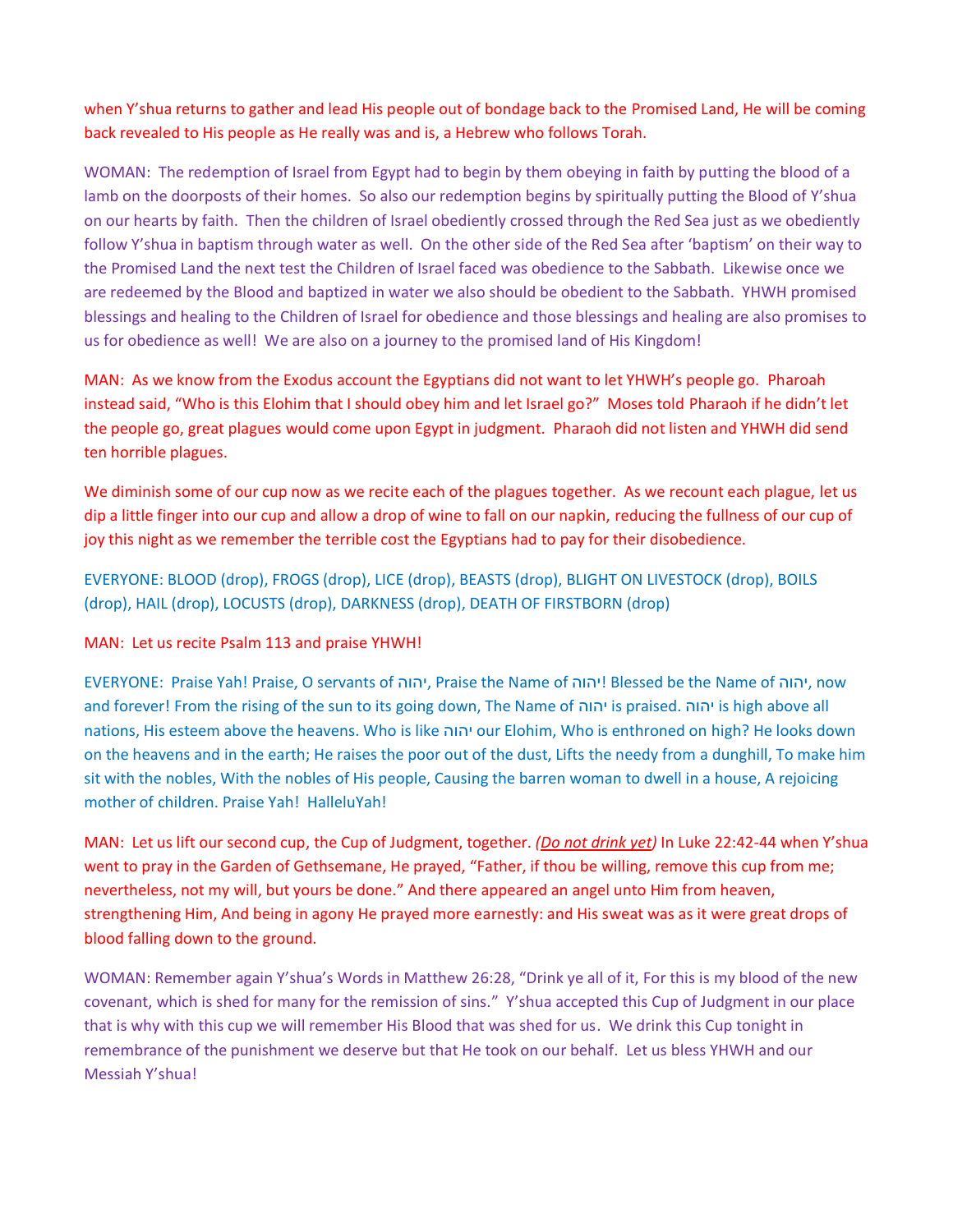when Y'shua returns to gather and lead His people out of bondage back to the Promised Land, He will be coming back revealed to His people as He really was and is, a Hebrew who follows Torah.

WOMAN: The redemption of Israel from Egypt had to begin by them obeying in faith by putting the blood of a lamb on the doorposts of their homes. So also our redemption begins by spiritually putting the Blood of Y'shua on our hearts by faith. Then the children of Israel obediently crossed through the Red Sea just as we obediently follow Y'shua in baptism through water as well. On the other side of the Red Sea after 'baptism' on their way to the Promised Land the next test the Children of Israel faced was obedience to the Sabbath. Likewise once we are redeemed by the Blood and baptized in water we also should be obedient to the Sabbath. YHWH promised blessings and healing to the Children of Israel for obedience and those blessings and healing are also promises to us for obedience as well! We are also on a journey to the promised land of His Kingdom!

MAN: As we know from the Exodus account the Egyptians did not want to let YHWH's people go. Pharoah instead said, "Who is this Elohim that I should obey him and let Israel go?" Moses told Pharaoh if he didn't let the people go, great plagues would come upon Egypt in judgment. Pharaoh did not listen and YHWH did send ten horrible plagues.

We diminish some of our cup now as we recite each of the plagues together. As we recount each plague, let us dip a little finger into our cup and allow a drop of wine to fall on our napkin, reducing the fullness of our cup of joy this night as we remember the terrible cost the Egyptians had to pay for their disobedience.

EVERYONE: BLOOD (drop), FROGS (drop), LICE (drop), BEASTS (drop), BLIGHT ON LIVESTOCK (drop), BOILS (drop), HAIL (drop), LOCUSTS (drop), DARKNESS (drop), DEATH OF FIRSTBORN (drop)

MAN: Let us recite Psalm 113 and praise YHWH!

EVERYONE: Praise Yah! Praise, O servants of יהוה, Praise the Name of יהוה !Blessed be the Name of יהוה, now and forever! From the rising of the sun to its going down, The Name of יהוה is praised. יהוה is high above all nations, His esteem above the heavens. Who is like יהוה our Elohim, Who is enthroned on high? He looks down on the heavens and in the earth; He raises the poor out of the dust, Lifts the needy from a dunghill, To make him sit with the nobles, With the nobles of His people, Causing the barren woman to dwell in a house, A rejoicing mother of children. Praise Yah! HalleluYah!

MAN: Let us lift our second cup, the Cup of Judgment, together. *(Do not drink yet)* In Luke 22:42-44 when Y'shua went to pray in the Garden of Gethsemane, He prayed, "Father, if thou be willing, remove this cup from me; nevertheless, not my will, but yours be done." And there appeared an angel unto Him from heaven, strengthening Him, And being in agony He prayed more earnestly: and His sweat was as it were great drops of blood falling down to the ground.

WOMAN: Remember again Y'shua's Words in Matthew 26:28, "Drink ye all of it, For this is my blood of the new covenant, which is shed for many for the remission of sins." Y'shua accepted this Cup of Judgment in our place that is why with this cup we will remember His Blood that was shed for us. We drink this Cup tonight in remembrance of the punishment we deserve but that He took on our behalf. Let us bless YHWH and our Messiah Y'shua!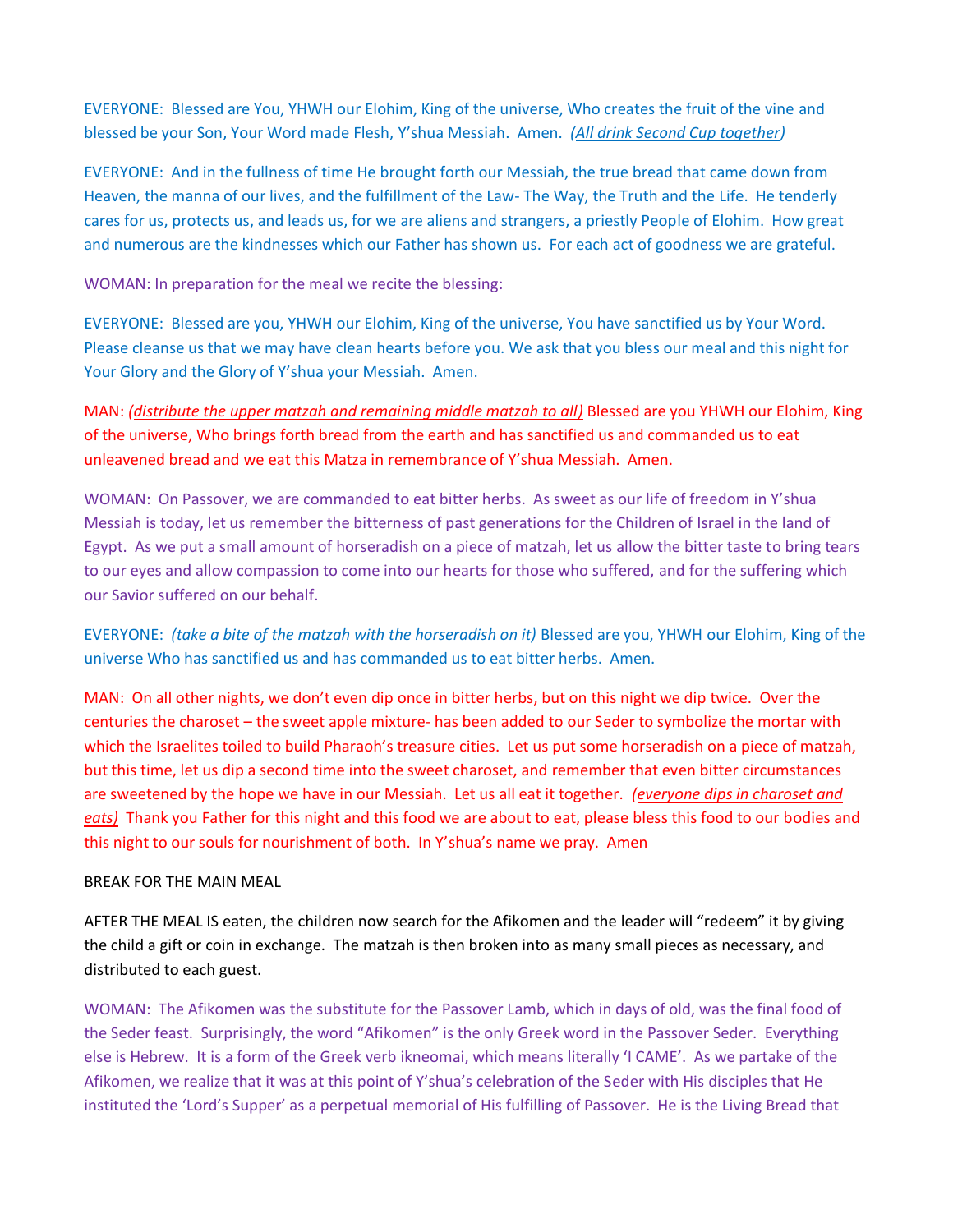EVERYONE: Blessed are You, YHWH our Elohim, King of the universe, Who creates the fruit of the vine and blessed be your Son, Your Word made Flesh, Y'shua Messiah. Amen. *(All drink Second Cup together)*

EVERYONE: And in the fullness of time He brought forth our Messiah, the true bread that came down from Heaven, the manna of our lives, and the fulfillment of the Law- The Way, the Truth and the Life. He tenderly cares for us, protects us, and leads us, for we are aliens and strangers, a priestly People of Elohim. How great and numerous are the kindnesses which our Father has shown us. For each act of goodness we are grateful.

WOMAN: In preparation for the meal we recite the blessing:

EVERYONE: Blessed are you, YHWH our Elohim, King of the universe, You have sanctified us by Your Word. Please cleanse us that we may have clean hearts before you. We ask that you bless our meal and this night for Your Glory and the Glory of Y'shua your Messiah. Amen.

MAN: *(distribute the upper matzah and remaining middle matzah to all)* Blessed are you YHWH our Elohim, King of the universe, Who brings forth bread from the earth and has sanctified us and commanded us to eat unleavened bread and we eat this Matza in remembrance of Y'shua Messiah. Amen.

WOMAN: On Passover, we are commanded to eat bitter herbs. As sweet as our life of freedom in Y'shua Messiah is today, let us remember the bitterness of past generations for the Children of Israel in the land of Egypt. As we put a small amount of horseradish on a piece of matzah, let us allow the bitter taste to bring tears to our eyes and allow compassion to come into our hearts for those who suffered, and for the suffering which our Savior suffered on our behalf.

EVERYONE: *(take a bite of the matzah with the horseradish on it)* Blessed are you, YHWH our Elohim, King of the universe Who has sanctified us and has commanded us to eat bitter herbs. Amen.

MAN: On all other nights, we don't even dip once in bitter herbs, but on this night we dip twice. Over the centuries the charoset – the sweet apple mixture- has been added to our Seder to symbolize the mortar with which the Israelites toiled to build Pharaoh's treasure cities. Let us put some horseradish on a piece of matzah, but this time, let us dip a second time into the sweet charoset, and remember that even bitter circumstances are sweetened by the hope we have in our Messiah. Let us all eat it together. *(everyone dips in charoset and eats)* Thank you Father for this night and this food we are about to eat, please bless this food to our bodies and this night to our souls for nourishment of both. In Y'shua's name we pray. Amen

#### BREAK FOR THE MAIN MEAL

AFTER THE MEAL IS eaten, the children now search for the Afikomen and the leader will "redeem" it by giving the child a gift or coin in exchange. The matzah is then broken into as many small pieces as necessary, and distributed to each guest.

WOMAN: The Afikomen was the substitute for the Passover Lamb, which in days of old, was the final food of the Seder feast. Surprisingly, the word "Afikomen" is the only Greek word in the Passover Seder. Everything else is Hebrew. It is a form of the Greek verb ikneomai, which means literally 'I CAME'. As we partake of the Afikomen, we realize that it was at this point of Y'shua's celebration of the Seder with His disciples that He instituted the 'Lord's Supper' as a perpetual memorial of His fulfilling of Passover. He is the Living Bread that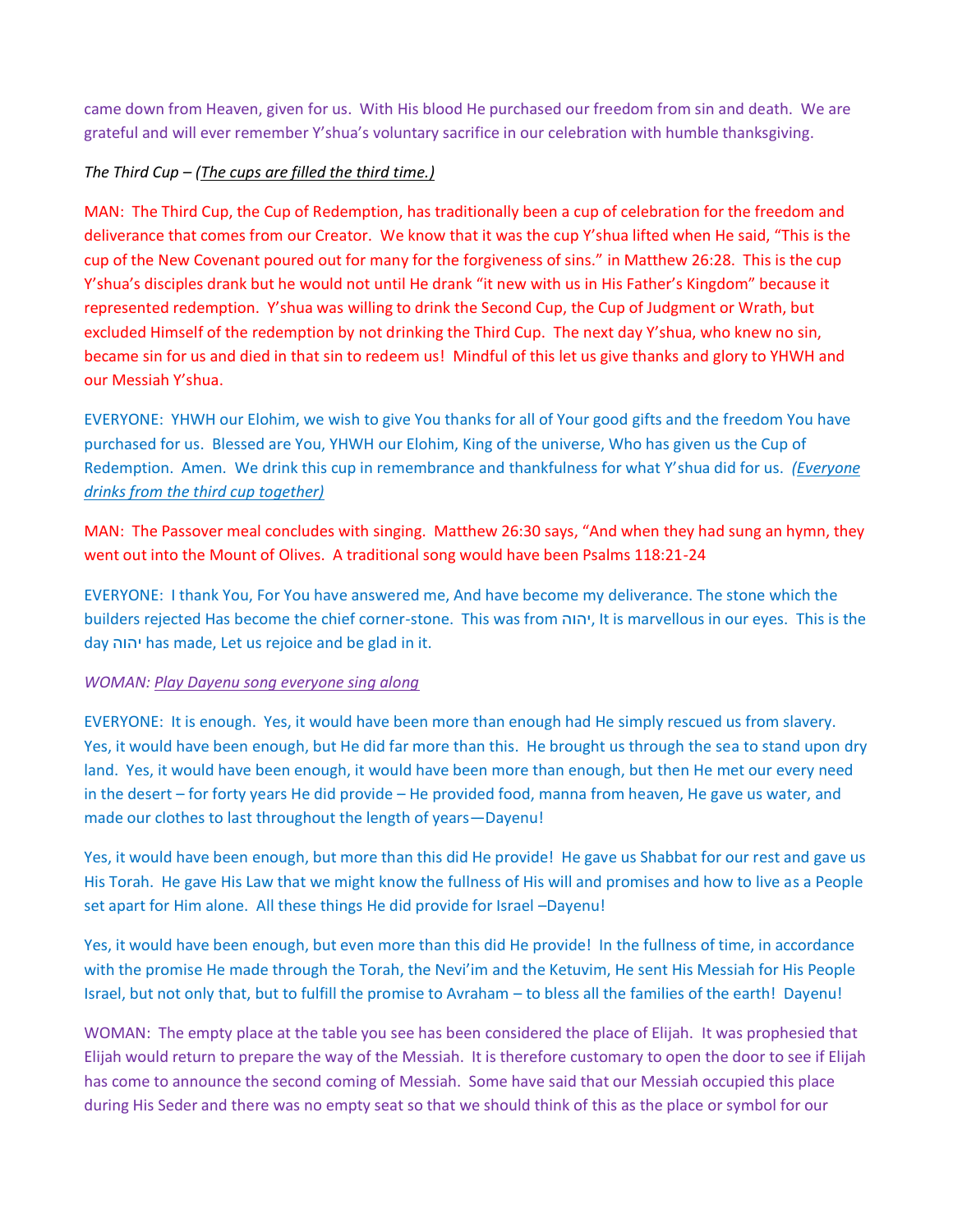came down from Heaven, given for us. With His blood He purchased our freedom from sin and death. We are grateful and will ever remember Y'shua's voluntary sacrifice in our celebration with humble thanksgiving.

# *The Third Cup – (The cups are filled the third time.)*

MAN: The Third Cup, the Cup of Redemption, has traditionally been a cup of celebration for the freedom and deliverance that comes from our Creator. We know that it was the cup Y'shua lifted when He said, "This is the cup of the New Covenant poured out for many for the forgiveness of sins." in Matthew 26:28. This is the cup Y'shua's disciples drank but he would not until He drank "it new with us in His Father's Kingdom" because it represented redemption. Y'shua was willing to drink the Second Cup, the Cup of Judgment or Wrath, but excluded Himself of the redemption by not drinking the Third Cup. The next day Y'shua, who knew no sin, became sin for us and died in that sin to redeem us! Mindful of this let us give thanks and glory to YHWH and our Messiah Y'shua.

EVERYONE: YHWH our Elohim, we wish to give You thanks for all of Your good gifts and the freedom You have purchased for us. Blessed are You, YHWH our Elohim, King of the universe, Who has given us the Cup of Redemption. Amen. We drink this cup in remembrance and thankfulness for what Y'shua did for us. *(Everyone drinks from the third cup together)*

MAN: The Passover meal concludes with singing. Matthew 26:30 says, "And when they had sung an hymn, they went out into the Mount of Olives. A traditional song would have been Psalms 118:21-24

EVERYONE: I thank You, For You have answered me, And have become my deliverance. The stone which the builders rejected Has become the chief corner-stone. This was from יהוה, It is marvellous in our eyes. This is the day יהוה has made, Let us rejoice and be glad in it.

### *WOMAN: Play Dayenu song everyone sing along*

EVERYONE: It is enough. Yes, it would have been more than enough had He simply rescued us from slavery. Yes, it would have been enough, but He did far more than this. He brought us through the sea to stand upon dry land. Yes, it would have been enough, it would have been more than enough, but then He met our every need in the desert – for forty years He did provide – He provided food, manna from heaven, He gave us water, and made our clothes to last throughout the length of years—Dayenu!

Yes, it would have been enough, but more than this did He provide! He gave us Shabbat for our rest and gave us His Torah. He gave His Law that we might know the fullness of His will and promises and how to live as a People set apart for Him alone. All these things He did provide for Israel –Dayenu!

Yes, it would have been enough, but even more than this did He provide! In the fullness of time, in accordance with the promise He made through the Torah, the Nevi'im and the Ketuvim, He sent His Messiah for His People Israel, but not only that, but to fulfill the promise to Avraham – to bless all the families of the earth! Dayenu!

WOMAN: The empty place at the table you see has been considered the place of Elijah. It was prophesied that Elijah would return to prepare the way of the Messiah. It is therefore customary to open the door to see if Elijah has come to announce the second coming of Messiah. Some have said that our Messiah occupied this place during His Seder and there was no empty seat so that we should think of this as the place or symbol for our